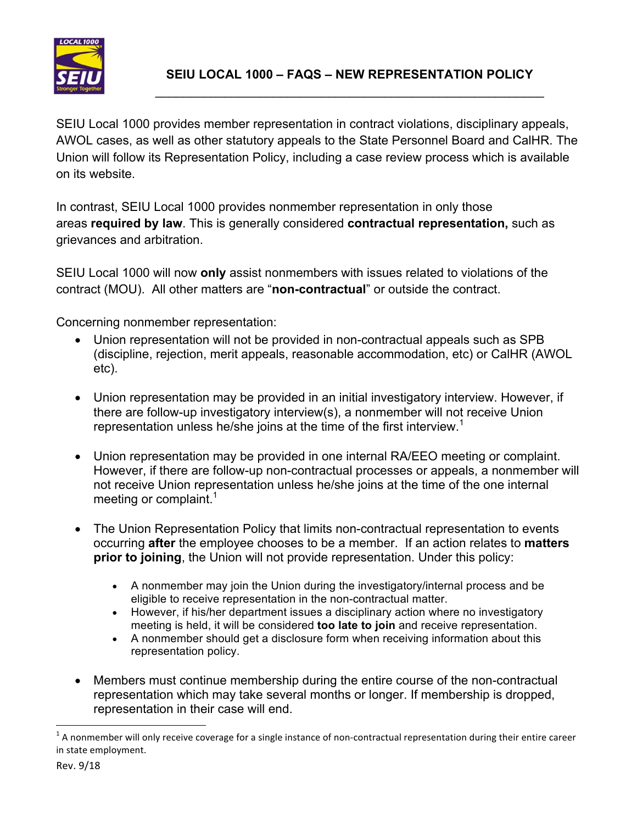

SEIU Local 1000 provides member representation in contract violations, disciplinary appeals, AWOL cases, as well as other statutory appeals to the State Personnel Board and CalHR. The Union will follow its Representation Policy, including a case review process which is available on its website.

In contrast, SEIU Local 1000 provides nonmember representation in only those areas **required by law**. This is generally considered **contractual representation,** such as grievances and arbitration.

SEIU Local 1000 will now **only** assist nonmembers with issues related to violations of the contract (MOU). All other matters are "**non-contractual**" or outside the contract.

Concerning nonmember representation:

- Union representation will not be provided in non-contractual appeals such as SPB (discipline, rejection, merit appeals, reasonable accommodation, etc) or CalHR (AWOL etc).
- Union representation may be provided in an initial investigatory interview. However, if there are follow-up investigatory interview(s), a nonmember will not receive Union representation unless he/she joins at the time of the first interview.<sup>1</sup>
- Union representation may be provided in one internal RA/EEO meeting or complaint. However, if there are follow-up non-contractual processes or appeals, a nonmember will not receive Union representation unless he/she joins at the time of the one internal meeting or complaint.<sup>1</sup>
- The Union Representation Policy that limits non-contractual representation to events occurring **after** the employee chooses to be a member. If an action relates to **matters prior to joining**, the Union will not provide representation. Under this policy:
	- A nonmember may join the Union during the investigatory/internal process and be eligible to receive representation in the non-contractual matter.
	- However, if his/her department issues a disciplinary action where no investigatory meeting is held, it will be considered **too late to join** and receive representation.
	- A nonmember should get a disclosure form when receiving information about this representation policy.
- Members must continue membership during the entire course of the non-contractual representation which may take several months or longer. If membership is dropped, representation in their case will end.

<u> 1989 - Johann Barn, mars ann an t-Amhain an t-Amhain an t-Amhain an t-Amhain an t-Amhain an t-Amhain an t-Amh</u>

 $1$  A nonmember will only receive coverage for a single instance of non-contractual representation during their entire career in state employment.